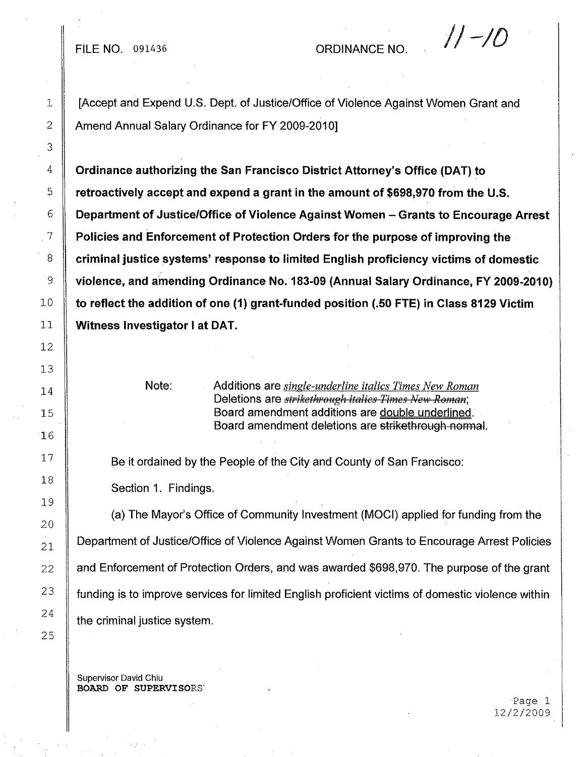## FILE NO.  $091436$  ORDINANCE NO.  $\sqrt{1-10}$

1 [Accept and Expend U.S. Dept. of Justice/Office of Violence Against Women Grant and 2 Amend Annual Salary Ordinance for FY 2009-2010]

 **Ordinance authorizing the San Francisco District Attorney's Office (OAT) to retroactively accept and expend a grant in the amount of \$698,970 from the U.S. Department of Justice/Office of Violence Against Women - Grants to Encourage Arrest** . 7 **Policies and Enforcement of Protection Orders for the purpose of improving the criminal justice systems' response to limited English proficiency victims of domestic violence, and amending Ordinance No. 183-09 (Annual Salary Ordinance, FY 2009-2010) to reflect the addition of one (1) grant-funded position (.50 FTE) in Class 8129 Victim Witness Investigator I at OAT.**

Note:

Additions are *single-underline italics Times New Roman* Deletions are *strikethrough italies Times New Roman*; Board amendment additions are double underlined. Board amendment deletions are strikethrough normal.

Be it ordained **by**the People of the City and County of San Francisco:

Section 1. Findings.

the criminal justice system. (a) **The** Mayor's Office of Community Investment (MOCI) applied for funding from the Department of Justice/Office of Violence Against Women Grants to Encourage Arrest Policies funding is to improve services for limited English proficient victims of domestic violence within and Enforcement of Protection Orders, and was awarded \$698,970. **The** purpose of the grant

Supervisor David Chiu BOARD OF SUPERVISORS'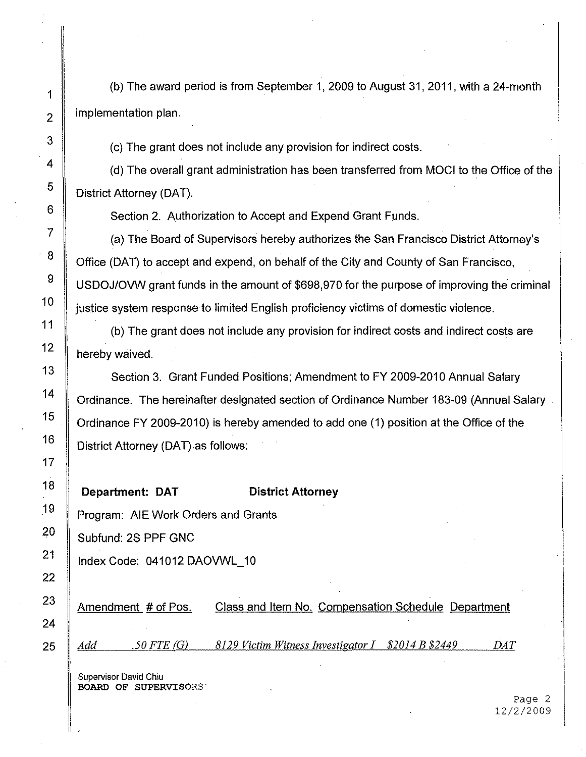implementation plan. (b) The award period is from September 1,2009 to August 31,2011, with a 24-month

(c) The grant does not include any provision for indirect costs.

(d) The overall grant administration has been transferred from MOCI to the Office of the District Attorney (OAT).

Section 2. Authorization to Accept and Expend Grant Funds.

(a) The Board of Supervisors hereby authorizes the San Francisco District Attorney's Office (OAT) to accept and expend, on behalf of the City and County of San Francisco, USDOJ/OVW grant funds in the amount of \$698,970 for the purpose of improving the criminal justice system response to limited English proficiency victims of domestic violence.

(b) The grant does not include any provision for indirect costs and indirect costs are hereby waived.

Section 3. Grant Funded Positions; Amendment to FY 2009-2010 Annual Salary Ordinance. The hereinafter designated section of Ordinance Number 183-09 (Annual Salary Ordinance FY 2009-2010) is hereby amended to add one (1) position at the Office of the District Attorney (OAT) as follows:

Department: **OAT**

**District Attorney**

Program: AlE Work Orders and Grants

Subfund: 2S PPF GNC

Index Code: 041012 DAOVWL\_10

*DAT* Class and Item No. Compensation Schedule Department *.50FTE(G) 8i29 Victim Witness investigator* 1 *\$2014 B \$2449* Amendment # of Pos. *Add*

Supervisor David Chiu BOARD OF SUPERVISORS'

Page 2 12/2/2009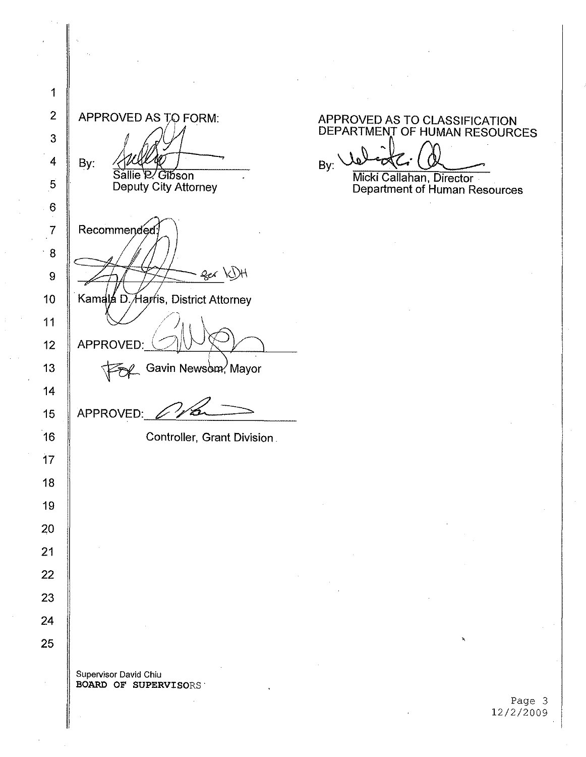2 APPROVED AS TO FORM: 3 By: 4 Sallie R/ Gibson 5 Deputy City Attorney 6 7 Recommended: ·8 ger K)H 9 Kamala D. Harris, District Attorney 10 11 APPROVED: 12 13 APPROVED: 2 14 15 16 Controller, Grant Division. 17 18 19 20 21 22 23 24 25 Supervisor David Chiu

BOARD OF SUPERVISORS

1

APPROVED AS TO CLASSIFICATION DEPARTMENT OF HUMAN RESOURCES

By: Micki Callahan, Director·

Department of Human Resources

Page 3 12/2/2009

,